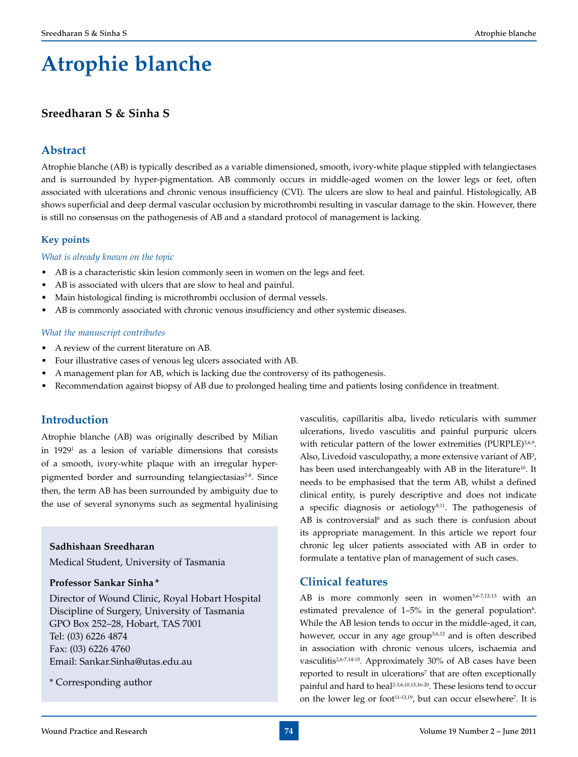# **Atrophie blanche**

# **Sreedharan S & Sinha S**

# **Abstract**

Atrophie blanche (AB) is typically described as a variable dimensioned, smooth, ivory-white plaque stippled with telangiectases and is surrounded by hyper-pigmentation. AB commonly occurs in middle-aged women on the lower legs or feet, often associated with ulcerations and chronic venous insufficiency (CVI). The ulcers are slow to heal and painful. Histologically, AB shows superficial and deep dermal vascular occlusion by microthrombi resulting in vascular damage to the skin. However, there is still no consensus on the pathogenesis of AB and a standard protocol of management is lacking.

# **Key points**

# *What is already known on the topic*

- AB is a characteristic skin lesion commonly seen in women on the legs and feet.
- AB is associated with ulcers that are slow to heal and painful.
- Main histological finding is microthrombi occlusion of dermal vessels.
- AB is commonly associated with chronic venous insufficiency and other systemic diseases.

#### *What the manuscript contributes*

- A review of the current literature on AB.
- Four illustrative cases of venous leg ulcers associated with AB.
- A management plan for AB, which is lacking due the controversy of its pathogenesis.
- Recommendation against biopsy of AB due to prolonged healing time and patients losing confidence in treatment.

# **Introduction**

Atrophie blanche (AB) was originally described by Milian in 19291 as a lesion of variable dimensions that consists of a smooth, ivory-white plaque with an irregular hyperpigmented border and surrounding telangiectasias<sup>2-8</sup>. Since then, the term AB has been surrounded by ambiguity due to the use of several synonyms such as segmental hyalinising

# **Sadhishaan Sreedharan**

Medical Student, University of Tasmania

# **Professor Sankar Sinha \***

Director of Wound Clinic, Royal Hobart Hospital Discipline of Surgery, University of Tasmania GPO Box 252–28, Hobart, TAS 7001 Tel: (03) 6226 4874 Fax: (03) 6226 4760 Email: Sankar.Sinha@utas.edu.au

\* Corresponding author

vasculitis, capillaritis alba, livedo reticularis with summer ulcerations, livedo vasculitis and painful purpuric ulcers with reticular pattern of the lower extremities (PURPLE)<sup>3,6,9</sup>. Also, Livedoid vasculopathy, a more extensive variant of  $AB^3$ , has been used interchangeably with AB in the literature<sup>10</sup>. It needs to be emphasised that the term AB, whilst a defined clinical entity, is purely descriptive and does not indicate a specific diagnosis or aetiology $8,11$ . The pathogenesis of  $AB$  is controversial<sup>6</sup> and as such there is confusion about its appropriate management. In this article we report four chronic leg ulcer patients associated with AB in order to formulate a tentative plan of management of such cases.

# **Clinical features**

AB is more commonly seen in women<sup>3,6-7,12-13</sup> with an estimated prevalence of  $1-5\%$  in the general population<sup>6</sup>. While the AB lesion tends to occur in the middle-aged, it can, however, occur in any age group<sup>3,6,12</sup> and is often described in association with chronic venous ulcers, ischaemia and vasculitis<sup>2,6-7,14-15</sup>. Approximately 30% of AB cases have been reported to result in ulcerations<sup>7</sup> that are often exceptionally painful and hard to heal<sup>2-3,6,10,13,16-20</sup>. These lesions tend to occur on the lower leg or foot $11-13,19$ , but can occur elsewhere<sup>7</sup>. It is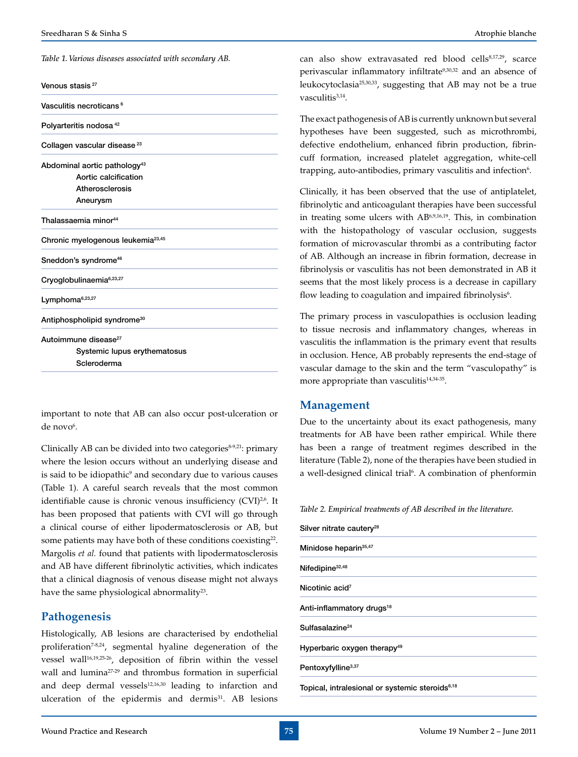*Table 1. Various diseases associated with secondary AB.*

| Venous stasis <sup>27</sup> |  |  |
|-----------------------------|--|--|
|-----------------------------|--|--|

Vasculitis necroticans<sup>6</sup>

Polyarteritis nodosa 42

Collagen vascular disease<sup>23</sup>

Abdominal aortic pathology<sup>43</sup> Aortic calcification Atherosclerosis Aneurysm

Thalassaemia minor<sup>44</sup>

Chronic myelogenous leukemia<sup>23,45</sup>

Sneddon's syndrome<sup>46</sup>

Cryoglobulinaemia<sup>6,23,27</sup>

Lymphoma<sup>6,23,27</sup>

Antiphospholipid syndrome<sup>30</sup>

Autoimmune disease<sup>27</sup> Systemic lupus erythematosus

Scleroderma

important to note that AB can also occur post-ulceration or de novo<sup>6</sup>.

Clinically AB can be divided into two categories $8-9,21$ : primary where the lesion occurs without an underlying disease and is said to be idiopathic<sup>9</sup> and secondary due to various causes (Table 1). A careful search reveals that the most common identifiable cause is chronic venous insufficiency (CVI)<sup>2,6</sup>. It has been proposed that patients with CVI will go through a clinical course of either lipodermatosclerosis or AB, but some patients may have both of these conditions coexisting<sup>22</sup>. Margolis *et al.* found that patients with lipodermatosclerosis and AB have different fibrinolytic activities, which indicates that a clinical diagnosis of venous disease might not always have the same physiological abnormality<sup>23</sup>.

# **Pathogenesis**

Histologically, AB lesions are characterised by endothelial proliferation<sup>7-8,24</sup>, segmental hyaline degeneration of the vessel wall<sup>16,19,25-26</sup>, deposition of fibrin within the vessel wall and lumina<sup>27-29</sup> and thrombus formation in superficial and deep dermal vessels $12,16,30$  leading to infarction and ulceration of the epidermis and dermis<sup>31</sup>. AB lesions can also show extravasated red blood cells<sup>8,17,29</sup>, scarce perivascular inflammatory infiltrate<sup>9,30,32</sup> and an absence of leukocytoclasia25,30,33, suggesting that AB may not be a true vasculitis<sup>3,14</sup>.

The exact pathogenesis of AB is currently unknown but several hypotheses have been suggested, such as microthrombi, defective endothelium, enhanced fibrin production, fibrincuff formation, increased platelet aggregation, white-cell trapping, auto-antibodies, primary vasculitis and infection<sup>6</sup>.

Clinically, it has been observed that the use of antiplatelet, fibrinolytic and anticoagulant therapies have been successful in treating some ulcers with AB6,9,16,19. This, in combination with the histopathology of vascular occlusion, suggests formation of microvascular thrombi as a contributing factor of AB. Although an increase in fibrin formation, decrease in fibrinolysis or vasculitis has not been demonstrated in AB it seems that the most likely process is a decrease in capillary flow leading to coagulation and impaired fibrinolysis<sup>6</sup>.

The primary process in vasculopathies is occlusion leading to tissue necrosis and inflammatory changes, whereas in vasculitis the inflammation is the primary event that results in occlusion. Hence, AB probably represents the end-stage of vascular damage to the skin and the term "vasculopathy" is more appropriate than vasculitis $14,34-35$ .

# **Management**

Due to the uncertainty about its exact pathogenesis, many treatments for AB have been rather empirical. While there has been a range of treatment regimes described in the literature (Table 2), none of the therapies have been studied in a well-designed clinical trial<sup>6</sup>. A combination of phenformin

*Table 2. Empirical treatments of AB described in the literature.*

| Silver nitrate cautery <sup>28</sup>    |  |
|-----------------------------------------|--|
| Minidose heparin <sup>35,47</sup>       |  |
| Nifedipine <sup>32,48</sup>             |  |
| Nicotinic acid <sup>7</sup>             |  |
| Anti-inflammatory drugs <sup>18</sup>   |  |
| Sulfasalazine <sup>24</sup>             |  |
| Hyperbaric oxygen therapy <sup>49</sup> |  |
| Pentoxyfylline <sup>3,37</sup>          |  |
|                                         |  |

Topical, intralesional or systemic steroids<sup>6,18</sup>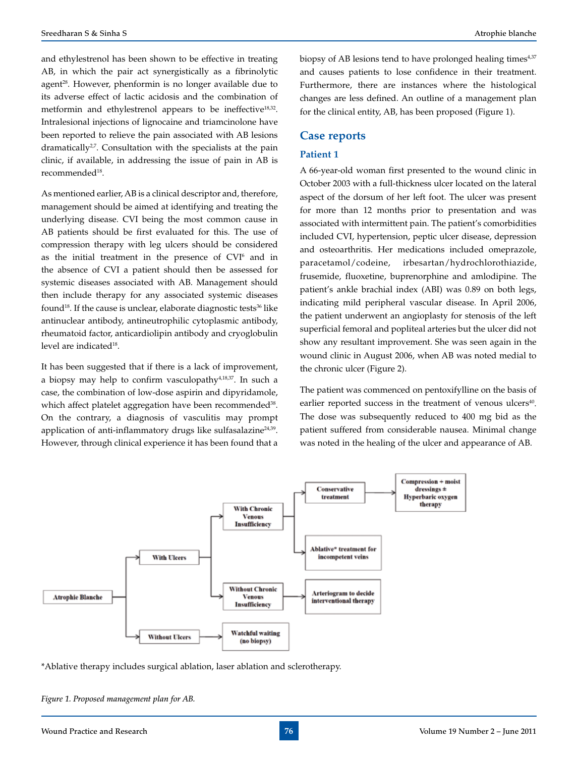and ethylestrenol has been shown to be effective in treating AB, in which the pair act synergistically as a fibrinolytic agent<sup>28</sup>. However, phenformin is no longer available due to its adverse effect of lactic acidosis and the combination of metformin and ethylestrenol appears to be ineffective<sup>18,32</sup>. Intralesional injections of lignocaine and triamcinolone have been reported to relieve the pain associated with AB lesions dramatically<sup>2,7</sup>. Consultation with the specialists at the pain clinic, if available, in addressing the issue of pain in AB is recommended18.

As mentioned earlier, AB is a clinical descriptor and, therefore, management should be aimed at identifying and treating the underlying disease. CVI being the most common cause in AB patients should be first evaluated for this. The use of compression therapy with leg ulcers should be considered as the initial treatment in the presence of CVI<sup>6</sup> and in the absence of CVI a patient should then be assessed for systemic diseases associated with AB. Management should then include therapy for any associated systemic diseases found<sup>18</sup>. If the cause is unclear, elaborate diagnostic tests<sup>36</sup> like antinuclear antibody, antineutrophilic cytoplasmic antibody, rheumatoid factor, anticardiolipin antibody and cryoglobulin level are indicated<sup>18</sup>.

It has been suggested that if there is a lack of improvement, a biopsy may help to confirm vasculopathy $4,18,37$ . In such a case, the combination of low-dose aspirin and dipyridamole, which affect platelet aggregation have been recommended<sup>38</sup>. On the contrary, a diagnosis of vasculitis may prompt application of anti-inflammatory drugs like sulfasalazine<sup>24,39</sup>. However, through clinical experience it has been found that a biopsy of AB lesions tend to have prolonged healing times $4,37$ and causes patients to lose confidence in their treatment. Furthermore, there are instances where the histological changes are less defined. An outline of a management plan for the clinical entity, AB, has been proposed (Figure 1).

# **Case reports**

# **Patient 1**

A 66-year-old woman first presented to the wound clinic in October 2003 with a full-thickness ulcer located on the lateral aspect of the dorsum of her left foot. The ulcer was present for more than 12 months prior to presentation and was associated with intermittent pain. The patient's comorbidities included CVI, hypertension, peptic ulcer disease, depression and osteoarthritis. Her medications included omeprazole, paracetamol/codeine, irbesartan/hydrochlorothiazide, frusemide, fluoxetine, buprenorphine and amlodipine. The patient's ankle brachial index (ABI) was 0.89 on both legs, indicating mild peripheral vascular disease. In April 2006, the patient underwent an angioplasty for stenosis of the left superficial femoral and popliteal arteries but the ulcer did not show any resultant improvement. She was seen again in the wound clinic in August 2006, when AB was noted medial to the chronic ulcer (Figure 2).

The patient was commenced on pentoxifylline on the basis of earlier reported success in the treatment of venous ulcers<sup>40</sup>. The dose was subsequently reduced to 400 mg bid as the patient suffered from considerable nausea. Minimal change was noted in the healing of the ulcer and appearance of AB.



\*Ablative therapy includes surgical ablation, laser ablation and sclerotherapy.

*Figure 1. Proposed management plan for AB.*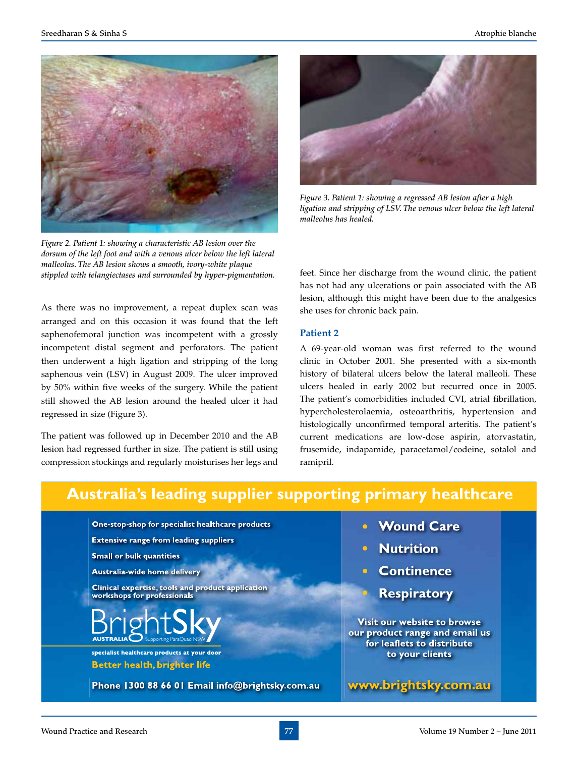

*Figure 2. Patient 1: showing a characteristic AB lesion over the dorsum of the left foot and with a venous ulcer below the left lateral malleolus. The AB lesion shows a smooth, ivory-white plaque stippled with telangiectases and surrounded by hyper-pigmentation.*

As there was no improvement, a repeat duplex scan was arranged and on this occasion it was found that the left saphenofemoral junction was incompetent with a grossly incompetent distal segment and perforators. The patient then underwent a high ligation and stripping of the long saphenous vein (LSV) in August 2009. The ulcer improved by 50% within five weeks of the surgery. While the patient still showed the AB lesion around the healed ulcer it had regressed in size (Figure 3).

The patient was followed up in December 2010 and the AB lesion had regressed further in size. The patient is still using compression stockings and regularly moisturises her legs and



*Figure 3. Patient 1: showing a regressed AB lesion after a high ligation and stripping of LSV. The venous ulcer below the left lateral malleolus has healed.*

feet. Since her discharge from the wound clinic, the patient has not had any ulcerations or pain associated with the AB lesion, although this might have been due to the analgesics she uses for chronic back pain.

#### **Patient 2**

A 69-year-old woman was first referred to the wound clinic in October 2001. She presented with a six-month history of bilateral ulcers below the lateral malleoli. These ulcers healed in early 2002 but recurred once in 2005. The patient's comorbidities included CVI, atrial fibrillation, hypercholesterolaemia, osteoarthritis, hypertension and histologically unconfirmed temporal arteritis. The patient's current medications are low-dose aspirin, atorvastatin, frusemide, indapamide, paracetamol/codeine, sotalol and ramipril.

# **Australia's leading supplier supporting primary healthcare**

One-stop-shop for specialist healthcare products

**Extensive range from leading suppliers** 

**Small or bulk quantities** 

Australia-wide home delivery

**Clinical expertise, tools and product application** workshops for professionals



specialist healthcare products at your door **Better health, brighter life** 

Phone 1300 88 66 01 Email info@brightsky.com.au

- **Wound Care**
- **Nutrition**
- **Continence** 
	- **Respiratory**

Visit our website to browse our product range and email us for leaflets to distribute to your clients

www.brightsky.com.au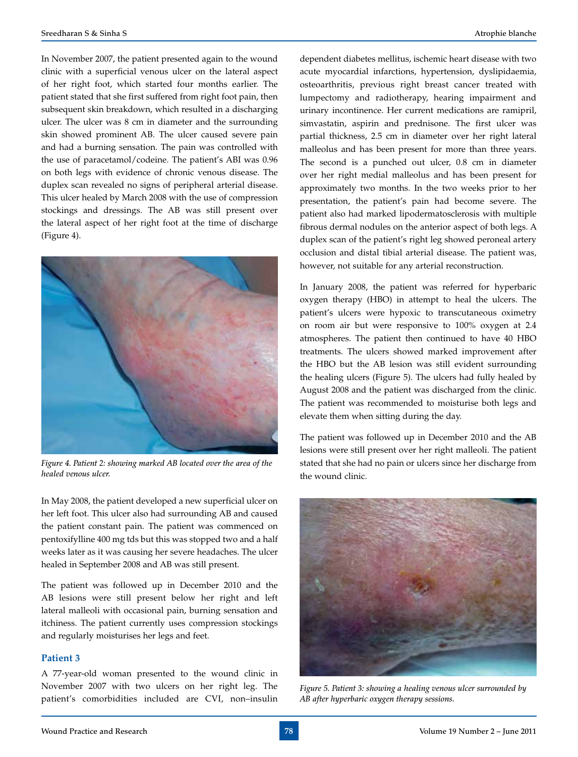In November 2007, the patient presented again to the wound clinic with a superficial venous ulcer on the lateral aspect of her right foot, which started four months earlier. The patient stated that she first suffered from right foot pain, then subsequent skin breakdown, which resulted in a discharging ulcer. The ulcer was 8 cm in diameter and the surrounding skin showed prominent AB. The ulcer caused severe pain and had a burning sensation. The pain was controlled with the use of paracetamol/codeine. The patient's ABI was 0.96 on both legs with evidence of chronic venous disease. The duplex scan revealed no signs of peripheral arterial disease. This ulcer healed by March 2008 with the use of compression stockings and dressings. The AB was still present over the lateral aspect of her right foot at the time of discharge (Figure 4).



*Figure 4. Patient 2: showing marked AB located over the area of the healed venous ulcer.*

In May 2008, the patient developed a new superficial ulcer on her left foot. This ulcer also had surrounding AB and caused the patient constant pain. The patient was commenced on pentoxifylline 400 mg tds but this was stopped two and a half weeks later as it was causing her severe headaches. The ulcer healed in September 2008 and AB was still present.

The patient was followed up in December 2010 and the AB lesions were still present below her right and left lateral malleoli with occasional pain, burning sensation and itchiness. The patient currently uses compression stockings and regularly moisturises her legs and feet.

#### **Patient 3**

A 77-year-old woman presented to the wound clinic in November 2007 with two ulcers on her right leg. The patient's comorbidities included are CVI, non–insulin

dependent diabetes mellitus, ischemic heart disease with two acute myocardial infarctions, hypertension, dyslipidaemia, osteoarthritis, previous right breast cancer treated with lumpectomy and radiotherapy, hearing impairment and urinary incontinence. Her current medications are ramipril, simvastatin, aspirin and prednisone. The first ulcer was partial thickness, 2.5 cm in diameter over her right lateral malleolus and has been present for more than three years. The second is a punched out ulcer, 0.8 cm in diameter over her right medial malleolus and has been present for approximately two months. In the two weeks prior to her presentation, the patient's pain had become severe. The patient also had marked lipodermatosclerosis with multiple fibrous dermal nodules on the anterior aspect of both legs. A duplex scan of the patient's right leg showed peroneal artery occlusion and distal tibial arterial disease. The patient was, however, not suitable for any arterial reconstruction.

In January 2008, the patient was referred for hyperbaric oxygen therapy (HBO) in attempt to heal the ulcers. The patient's ulcers were hypoxic to transcutaneous oximetry on room air but were responsive to 100% oxygen at 2.4 atmospheres. The patient then continued to have 40 HBO treatments. The ulcers showed marked improvement after the HBO but the AB lesion was still evident surrounding the healing ulcers (Figure 5). The ulcers had fully healed by August 2008 and the patient was discharged from the clinic. The patient was recommended to moisturise both legs and elevate them when sitting during the day.

The patient was followed up in December 2010 and the AB lesions were still present over her right malleoli. The patient stated that she had no pain or ulcers since her discharge from the wound clinic.



*Figure 5. Patient 3: showing a healing venous ulcer surrounded by AB after hyperbaric oxygen therapy sessions.*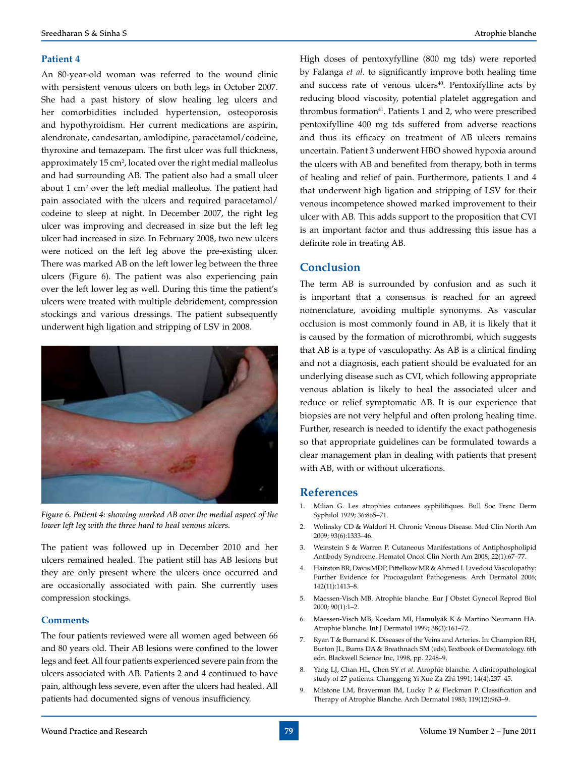# **Patient 4**

An 80-year-old woman was referred to the wound clinic with persistent venous ulcers on both legs in October 2007. She had a past history of slow healing leg ulcers and her comorbidities included hypertension, osteoporosis and hypothyroidism. Her current medications are aspirin, alendronate, candesartan, amlodipine, paracetamol/codeine, thyroxine and temazepam. The first ulcer was full thickness, approximately  $15 \text{ cm}^2$ , located over the right medial malleolus and had surrounding AB. The patient also had a small ulcer about 1 cm<sup>2</sup> over the left medial malleolus. The patient had pain associated with the ulcers and required paracetamol/ codeine to sleep at night. In December 2007, the right leg ulcer was improving and decreased in size but the left leg ulcer had increased in size. In February 2008, two new ulcers were noticed on the left leg above the pre-existing ulcer. There was marked AB on the left lower leg between the three ulcers (Figure 6). The patient was also experiencing pain over the left lower leg as well. During this time the patient's ulcers were treated with multiple debridement, compression stockings and various dressings. The patient subsequently underwent high ligation and stripping of LSV in 2008.



*Figure 6. Patient 4: showing marked AB over the medial aspect of the lower left leg with the three hard to heal venous ulcers.*

The patient was followed up in December 2010 and her ulcers remained healed. The patient still has AB lesions but they are only present where the ulcers once occurred and are occasionally associated with pain. She currently uses compression stockings.

#### **Comments**

The four patients reviewed were all women aged between 66 and 80 years old. Their AB lesions were confined to the lower legs and feet. All four patients experienced severe pain from the ulcers associated with AB. Patients 2 and 4 continued to have pain, although less severe, even after the ulcers had healed. All patients had documented signs of venous insufficiency.

High doses of pentoxyfylline (800 mg tds) were reported by Falanga *et al.* to significantly improve both healing time and success rate of venous ulcers $40$ . Pentoxifylline acts by reducing blood viscosity, potential platelet aggregation and thrombus formation<sup>41</sup>. Patients 1 and 2, who were prescribed pentoxifylline 400 mg tds suffered from adverse reactions and thus its efficacy on treatment of AB ulcers remains uncertain. Patient 3 underwent HBO showed hypoxia around the ulcers with AB and benefited from therapy, both in terms of healing and relief of pain. Furthermore, patients 1 and 4 that underwent high ligation and stripping of LSV for their venous incompetence showed marked improvement to their ulcer with AB. This adds support to the proposition that CVI is an important factor and thus addressing this issue has a definite role in treating AB.

# **Conclusion**

The term AB is surrounded by confusion and as such it is important that a consensus is reached for an agreed nomenclature, avoiding multiple synonyms. As vascular occlusion is most commonly found in AB, it is likely that it is caused by the formation of microthrombi, which suggests that AB is a type of vasculopathy. As AB is a clinical finding and not a diagnosis, each patient should be evaluated for an underlying disease such as CVI, which following appropriate venous ablation is likely to heal the associated ulcer and reduce or relief symptomatic AB. It is our experience that biopsies are not very helpful and often prolong healing time. Further, research is needed to identify the exact pathogenesis so that appropriate guidelines can be formulated towards a clear management plan in dealing with patients that present with AB, with or without ulcerations.

# **References**

- 1. Milian G. Les atrophies cutanees syphilitiques. Bull Soc Frsnc Derm Syphilol 1929; 36:865–71.
- 2. Wolinsky CD & Waldorf H. Chronic Venous Disease. Med Clin North Am 2009; 93(6):1333–46.
- 3. Weinstein S & Warren P. Cutaneous Manifestations of Antiphospholipid Antibody Syndrome. Hematol Oncol Clin North Am 2008; 22(1):67–77.
- 4. Hairston BR, Davis MDP, Pittelkow MR & Ahmed I. Livedoid Vasculopathy: Further Evidence for Procoagulant Pathogenesis. Arch Dermatol 2006; 142(11):1413–8.
- 5. Maessen-Visch MB. Atrophie blanche. Eur J Obstet Gynecol Reprod Biol 2000; 90(1):1–2.
- 6. Maessen-Visch MB, Koedam MI, Hamulyák K & Martino Neumann HA. Atrophie blanche. Int J Dermatol 1999; 38(3):161–72.
- 7. Ryan T & Burnand K. Diseases of the Veins and Arteries. In: Champion RH, Burton JL, Burns DA & Breathnach SM (eds).Textbook of Dermatology. 6th edn. Blackwell Science Inc, 1998, pp. 2248–9.
- 8. Yang LJ, Chan HL, Chen SY *et al.* Atrophie blanche. A clinicopathological study of 27 patients. Changgeng Yi Xue Za Zhi 1991; 14(4):237–45.
- 9. Milstone LM, Braverman IM, Lucky P & Fleckman P. Classification and Therapy of Atrophie Blanche. Arch Dermatol 1983; 119(12):963–9.